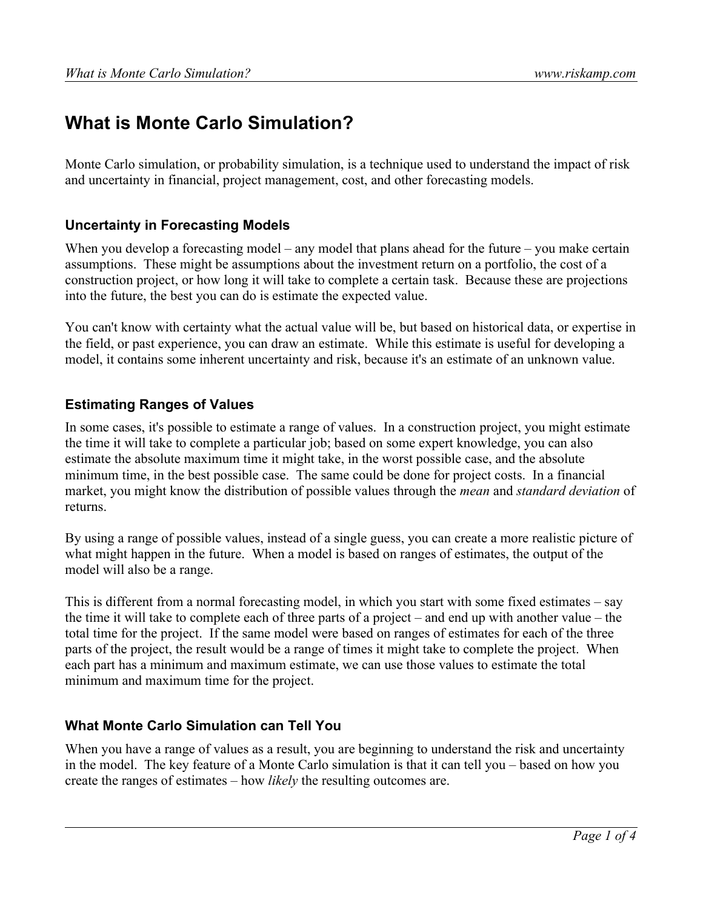# **What is Monte Carlo Simulation?**

Monte Carlo simulation, or probability simulation, is a technique used to understand the impact of risk and uncertainty in financial, project management, cost, and other forecasting models.

#### **Uncertainty in Forecasting Models**

When you develop a forecasting model – any model that plans ahead for the future – you make certain assumptions. These might be assumptions about the investment return on a portfolio, the cost of a construction project, or how long it will take to complete a certain task. Because these are projections into the future, the best you can do is estimate the expected value.

You can't know with certainty what the actual value will be, but based on historical data, or expertise in the field, or past experience, you can draw an estimate. While this estimate is useful for developing a model, it contains some inherent uncertainty and risk, because it's an estimate of an unknown value.

#### **Estimating Ranges of Values**

In some cases, it's possible to estimate a range of values. In a construction project, you might estimate the time it will take to complete a particular job; based on some expert knowledge, you can also estimate the absolute maximum time it might take, in the worst possible case, and the absolute minimum time, in the best possible case. The same could be done for project costs. In a financial market, you might know the distribution of possible values through the *mean* and *standard deviation* of returns.

By using a range of possible values, instead of a single guess, you can create a more realistic picture of what might happen in the future. When a model is based on ranges of estimates, the output of the model will also be a range.

This is different from a normal forecasting model, in which you start with some fixed estimates – say the time it will take to complete each of three parts of a project – and end up with another value – the total time for the project. If the same model were based on ranges of estimates for each of the three parts of the project, the result would be a range of times it might take to complete the project. When each part has a minimum and maximum estimate, we can use those values to estimate the total minimum and maximum time for the project.

#### **What Monte Carlo Simulation can Tell You**

When you have a range of values as a result, you are beginning to understand the risk and uncertainty in the model. The key feature of a Monte Carlo simulation is that it can tell you – based on how you create the ranges of estimates – how *likely* the resulting outcomes are.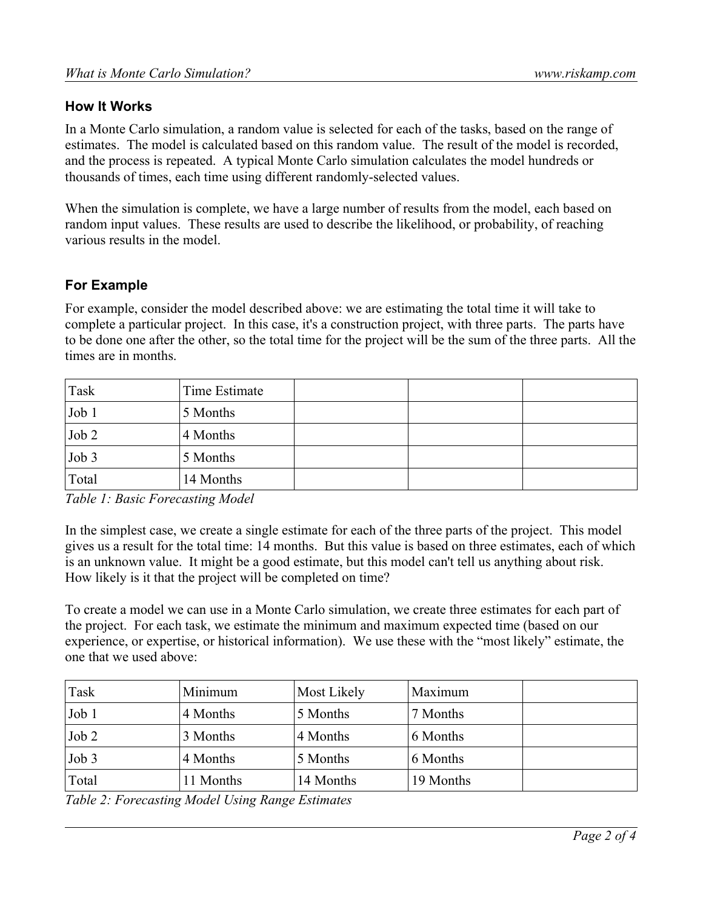### **How It Works**

In a Monte Carlo simulation, a random value is selected for each of the tasks, based on the range of estimates. The model is calculated based on this random value. The result of the model is recorded, and the process is repeated. A typical Monte Carlo simulation calculates the model hundreds or thousands of times, each time using different randomly-selected values.

When the simulation is complete, we have a large number of results from the model, each based on random input values. These results are used to describe the likelihood, or probability, of reaching various results in the model.

#### **For Example**

For example, consider the model described above: we are estimating the total time it will take to complete a particular project. In this case, it's a construction project, with three parts. The parts have to be done one after the other, so the total time for the project will be the sum of the three parts. All the times are in months.

| Task  | Time Estimate |  |  |
|-------|---------------|--|--|
| Job 1 | 5 Months      |  |  |
| Job 2 | 4 Months      |  |  |
| Job 3 | 5 Months      |  |  |
| Total | 14 Months     |  |  |

*Table 1: Basic Forecasting Model*

In the simplest case, we create a single estimate for each of the three parts of the project. This model gives us a result for the total time: 14 months. But this value is based on three estimates, each of which is an unknown value. It might be a good estimate, but this model can't tell us anything about risk. How likely is it that the project will be completed on time?

To create a model we can use in a Monte Carlo simulation, we create three estimates for each part of the project. For each task, we estimate the minimum and maximum expected time (based on our experience, or expertise, or historical information). We use these with the "most likely" estimate, the one that we used above:

| Task  | Minimum   | Most Likely | Maximum   |
|-------|-----------|-------------|-----------|
| Job 1 | 4 Months  | 5 Months    | 7 Months  |
| Job 2 | 3 Months  | 4 Months    | 6 Months  |
| Job 3 | 4 Months  | 5 Months    | 6 Months  |
| Total | 11 Months | 14 Months   | 19 Months |

*Table 2: Forecasting Model Using Range Estimates*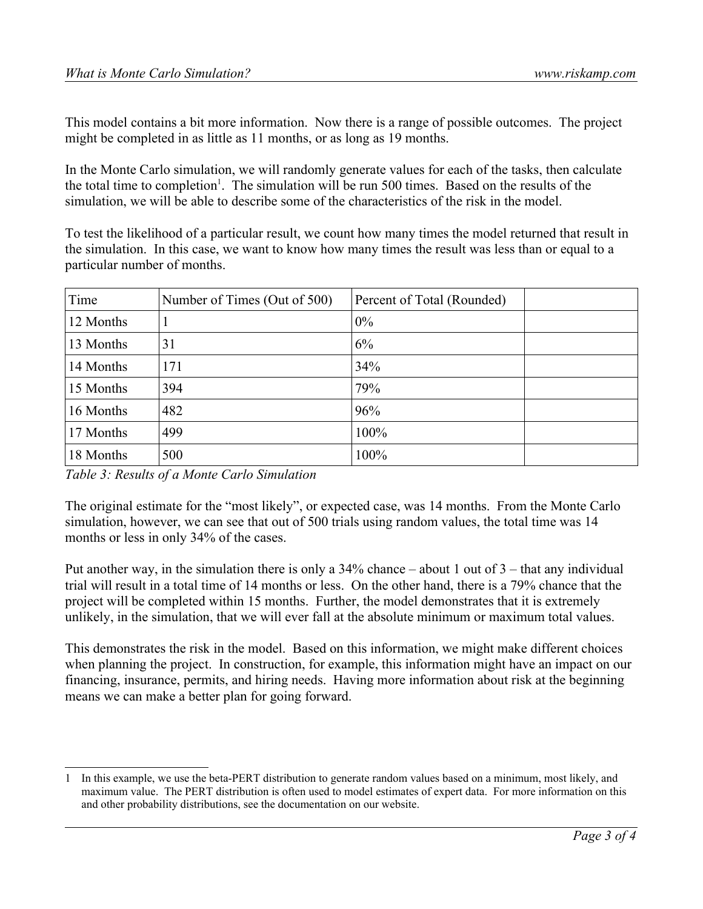This model contains a bit more information. Now there is a range of possible outcomes. The project might be completed in as little as 11 months, or as long as 19 months.

In the Monte Carlo simulation, we will randomly generate values for each of the tasks, then calculate the total time to completion<sup>[1](#page-2-0)</sup>. The simulation will be run 500 times. Based on the results of the simulation, we will be able to describe some of the characteristics of the risk in the model.

To test the likelihood of a particular result, we count how many times the model returned that result in the simulation. In this case, we want to know how many times the result was less than or equal to a particular number of months.

| Time      | Number of Times (Out of 500) | Percent of Total (Rounded) |  |
|-----------|------------------------------|----------------------------|--|
| 12 Months |                              | $0\%$                      |  |
| 13 Months | 31                           | 6%                         |  |
| 14 Months | 171                          | 34%                        |  |
| 15 Months | 394                          | 79%                        |  |
| 16 Months | 482                          | 96%                        |  |
| 17 Months | 499                          | 100%                       |  |
| 18 Months | 500                          | 100%                       |  |

*Table 3: Results of a Monte Carlo Simulation*

The original estimate for the "most likely", or expected case, was 14 months. From the Monte Carlo simulation, however, we can see that out of 500 trials using random values, the total time was 14 months or less in only 34% of the cases.

Put another way, in the simulation there is only a 34% chance – about 1 out of 3 – that any individual trial will result in a total time of 14 months or less. On the other hand, there is a 79% chance that the project will be completed within 15 months. Further, the model demonstrates that it is extremely unlikely, in the simulation, that we will ever fall at the absolute minimum or maximum total values.

This demonstrates the risk in the model. Based on this information, we might make different choices when planning the project. In construction, for example, this information might have an impact on our financing, insurance, permits, and hiring needs. Having more information about risk at the beginning means we can make a better plan for going forward.

<span id="page-2-0"></span><sup>1</sup> In this example, we use the beta-PERT distribution to generate random values based on a minimum, most likely, and maximum value. The PERT distribution is often used to model estimates of expert data. For more information on this and other probability distributions, see the documentation on our website.